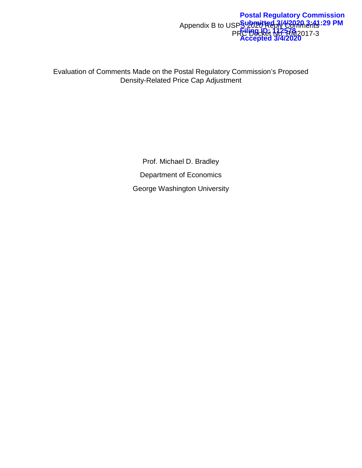#### Appendix B to USPS 2020 Reply Comments PRC Docket No. RM2017-3 **Postal Regulatory Commission Submitted 3/4/2020 3:41:29 PM Filing ID: 112578 Accepted 3/4/2020**

Evaluation of Comments Made on the Postal Regulatory Commission's Proposed Density-Related Price Cap Adjustment

> Prof. Michael D. Bradley Department of Economics George Washington University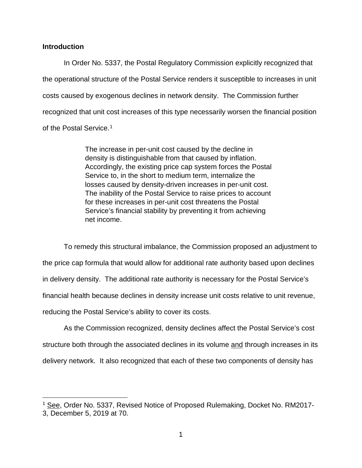### **Introduction**

In Order No. 5337, the Postal Regulatory Commission explicitly recognized that the operational structure of the Postal Service renders it susceptible to increases in unit costs caused by exogenous declines in network density. The Commission further recognized that unit cost increases of this type necessarily worsen the financial position of the Postal Service.<sup>[1](#page-1-0)</sup>

> The increase in per-unit cost caused by the decline in density is distinguishable from that caused by inflation. Accordingly, the existing price cap system forces the Postal Service to, in the short to medium term, internalize the losses caused by density-driven increases in per-unit cost. The inability of the Postal Service to raise prices to account for these increases in per-unit cost threatens the Postal Service's financial stability by preventing it from achieving net income.

To remedy this structural imbalance, the Commission proposed an adjustment to the price cap formula that would allow for additional rate authority based upon declines in delivery density. The additional rate authority is necessary for the Postal Service's financial health because declines in density increase unit costs relative to unit revenue, reducing the Postal Service's ability to cover its costs.

As the Commission recognized, density declines affect the Postal Service's cost structure both through the associated declines in its volume and through increases in its delivery network. It also recognized that each of these two components of density has

<span id="page-1-0"></span><sup>&</sup>lt;sup>1</sup> See, Order No. 5337, Revised Notice of Proposed Rulemaking, Docket No. RM2017-3, December 5, 2019 at 70.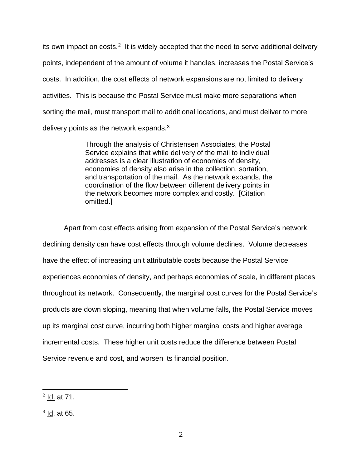its own impact on costs.<sup>[2](#page-2-0)</sup> It is widely accepted that the need to serve additional delivery points, independent of the amount of volume it handles, increases the Postal Service's costs. In addition, the cost effects of network expansions are not limited to delivery activities. This is because the Postal Service must make more separations when sorting the mail, must transport mail to additional locations, and must deliver to more delivery points as the network expands. $^3$  $^3$ 

> Through the analysis of Christensen Associates, the Postal Service explains that while delivery of the mail to individual addresses is a clear illustration of economies of density, economies of density also arise in the collection, sortation, and transportation of the mail. As the network expands, the coordination of the flow between different delivery points in the network becomes more complex and costly. [Citation omitted.]

Apart from cost effects arising from expansion of the Postal Service's network, declining density can have cost effects through volume declines. Volume decreases have the effect of increasing unit attributable costs because the Postal Service experiences economies of density, and perhaps economies of scale, in different places throughout its network. Consequently, the marginal cost curves for the Postal Service's products are down sloping, meaning that when volume falls, the Postal Service moves up its marginal cost curve, incurring both higher marginal costs and higher average incremental costs. These higher unit costs reduce the difference between Postal Service revenue and cost, and worsen its financial position.

<span id="page-2-0"></span> <sup>2</sup> Id. at 71.

<span id="page-2-1"></span> $<sup>3</sup>$  Id. at 65.</sup>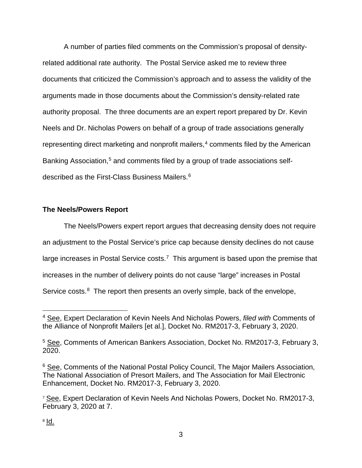A number of parties filed comments on the Commission's proposal of densityrelated additional rate authority. The Postal Service asked me to review three documents that criticized the Commission's approach and to assess the validity of the arguments made in those documents about the Commission's density-related rate authority proposal. The three documents are an expert report prepared by Dr. Kevin Neels and Dr. Nicholas Powers on behalf of a group of trade associations generally representing direct marketing and nonprofit mailers, [4](#page-3-0) comments filed by the American Banking Association,<sup>[5](#page-3-1)</sup> and comments filed by a group of trade associations selfdescribed as the First-Class Business Mailers.[6](#page-3-2)

## **The Neels/Powers Report**

The Neels/Powers expert report argues that decreasing density does not require an adjustment to the Postal Service's price cap because density declines do not cause large increases in Postal Service costs.<sup>7</sup> This argument is based upon the premise that increases in the number of delivery points do not cause "large" increases in Postal Service costs.<sup>[8](#page-3-4)</sup> The report then presents an overly simple, back of the envelope,

<span id="page-3-0"></span> <sup>4</sup> See, Expert Declaration of Kevin Neels And Nicholas Powers, *filed with* Comments of the Alliance of Nonprofit Mailers [et al.], Docket No. RM2017-3, February 3, 2020.

<span id="page-3-1"></span><sup>5</sup> See, Comments of American Bankers Association, Docket No. RM2017-3, February 3, 2020.

<span id="page-3-2"></span><sup>&</sup>lt;sup>6</sup> See, Comments of the National Postal Policy Council, The Major Mailers Association, The National Association of Presort Mailers, and The Association for Mail Electronic Enhancement, Docket No. RM2017-3, February 3, 2020.

<span id="page-3-4"></span><span id="page-3-3"></span><sup>&</sup>lt;sup>7</sup> See, Expert Declaration of Kevin Neels And Nicholas Powers, Docket No. RM2017-3, February 3, 2020 at 7.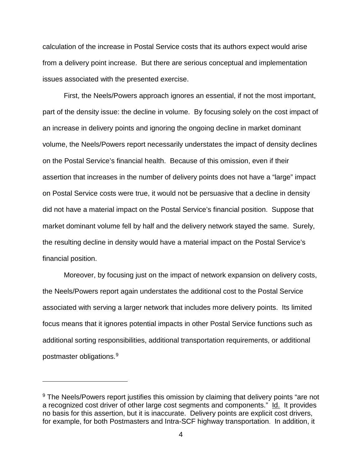calculation of the increase in Postal Service costs that its authors expect would arise from a delivery point increase. But there are serious conceptual and implementation issues associated with the presented exercise.

First, the Neels/Powers approach ignores an essential, if not the most important, part of the density issue: the decline in volume. By focusing solely on the cost impact of an increase in delivery points and ignoring the ongoing decline in market dominant volume, the Neels/Powers report necessarily understates the impact of density declines on the Postal Service's financial health. Because of this omission, even if their assertion that increases in the number of delivery points does not have a "large" impact on Postal Service costs were true, it would not be persuasive that a decline in density did not have a material impact on the Postal Service's financial position. Suppose that market dominant volume fell by half and the delivery network stayed the same. Surely, the resulting decline in density would have a material impact on the Postal Service's financial position.

Moreover, by focusing just on the impact of network expansion on delivery costs, the Neels/Powers report again understates the additional cost to the Postal Service associated with serving a larger network that includes more delivery points. Its limited focus means that it ignores potential impacts in other Postal Service functions such as additional sorting responsibilities, additional transportation requirements, or additional postmaster obligations.[9](#page-4-0)

 $\overline{a}$ 

<span id="page-4-0"></span><sup>&</sup>lt;sup>9</sup> The Neels/Powers report justifies this omission by claiming that delivery points "are not a recognized cost driver of other large cost segments and components." Id. It provides no basis for this assertion, but it is inaccurate. Delivery points are explicit cost drivers, for example, for both Postmasters and Intra-SCF highway transportation. In addition, it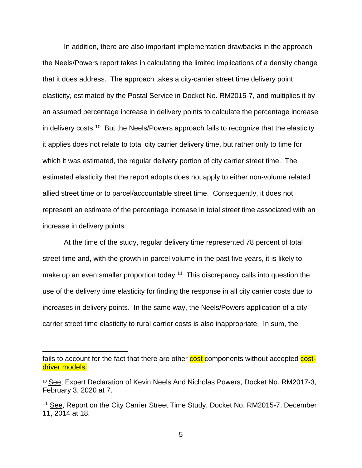In addition, there are also important implementation drawbacks in the approach the Neels/Powers report takes in calculating the limited implications of a density change that it does address. The approach takes a city-carrier street time delivery point elasticity, estimated by the Postal Service in Docket No. RM2015-7, and multiplies it by an assumed percentage increase in delivery points to calculate the percentage increase in delivery costs.<sup>[10](#page-5-0)</sup> But the Neels/Powers approach fails to recognize that the elasticity it applies does not relate to total city carrier delivery time, but rather only to time for which it was estimated, the regular delivery portion of city carrier street time. The estimated elasticity that the report adopts does not apply to either non-volume related allied street time or to parcel/accountable street time. Consequently, it does not represent an estimate of the percentage increase in total street time associated with an increase in delivery points.

At the time of the study, regular delivery time represented 78 percent of total street time and, with the growth in parcel volume in the past five years, it is likely to make up an even smaller proportion today.<sup>[11](#page-5-1)</sup> This discrepancy calls into question the use of the delivery time elasticity for finding the response in all city carrier costs due to increases in delivery points. In the same way, the Neels/Powers application of a city carrier street time elasticity to rural carrier costs is also inappropriate. In sum, the

 $\overline{a}$ 

fails to account for the fact that there are other cost components without accepted costdriver models.

<span id="page-5-0"></span><sup>10</sup> See, Expert Declaration of Kevin Neels And Nicholas Powers, Docket No. RM2017-3, February 3, 2020 at 7.

<span id="page-5-1"></span><sup>&</sup>lt;sup>11</sup> See, Report on the City Carrier Street Time Study, Docket No. RM2015-7, December 11, 2014 at 18.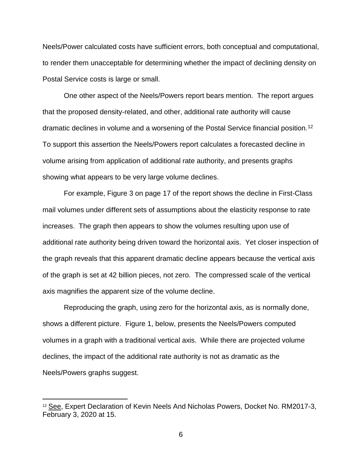Neels/Power calculated costs have sufficient errors, both conceptual and computational, to render them unacceptable for determining whether the impact of declining density on Postal Service costs is large or small.

One other aspect of the Neels/Powers report bears mention. The report argues that the proposed density-related, and other, additional rate authority will cause dramatic declines in volume and a worsening of the Postal Service financial position.[12](#page-6-0) To support this assertion the Neels/Powers report calculates a forecasted decline in volume arising from application of additional rate authority, and presents graphs showing what appears to be very large volume declines.

For example, Figure 3 on page 17 of the report shows the decline in First-Class mail volumes under different sets of assumptions about the elasticity response to rate increases. The graph then appears to show the volumes resulting upon use of additional rate authority being driven toward the horizontal axis. Yet closer inspection of the graph reveals that this apparent dramatic decline appears because the vertical axis of the graph is set at 42 billion pieces, not zero. The compressed scale of the vertical axis magnifies the apparent size of the volume decline.

Reproducing the graph, using zero for the horizontal axis, as is normally done, shows a different picture. Figure 1, below, presents the Neels/Powers computed volumes in a graph with a traditional vertical axis. While there are projected volume declines, the impact of the additional rate authority is not as dramatic as the Neels/Powers graphs suggest.

<span id="page-6-0"></span> <sup>12</sup> See, Expert Declaration of Kevin Neels And Nicholas Powers, Docket No. RM2017-3, February 3, 2020 at 15.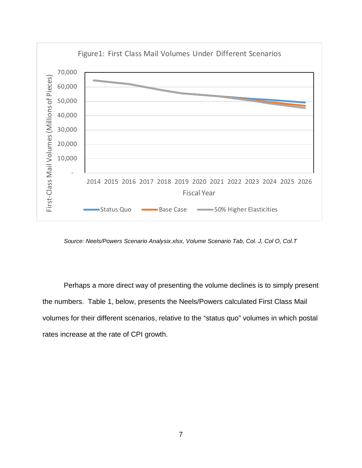

*Source: Neels/Powers Scenario Analysix.xlsx, Volume Scenario Tab, Col. J, Col O, Col.T*

Perhaps a more direct way of presenting the volume declines is to simply present the numbers. Table 1, below, presents the Neels/Powers calculated First Class Mail volumes for their different scenarios, relative to the "status quo" volumes in which postal rates increase at the rate of CPI growth.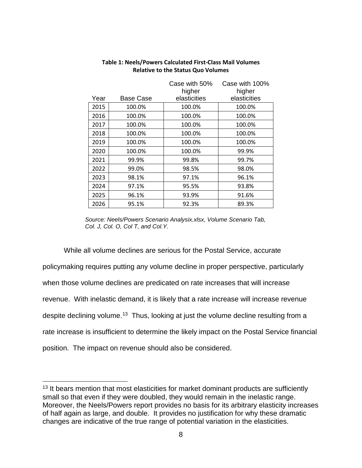|      |                  | Case with 50% | Case with 100% |
|------|------------------|---------------|----------------|
|      |                  | higher        | higher         |
| Year | <b>Base Case</b> | elasticities  | elasticities   |
| 2015 | 100.0%           | 100.0%        | 100.0%         |
| 2016 | 100.0%           | 100.0%        | 100.0%         |
| 2017 | 100.0%           | 100.0%        | 100.0%         |
| 2018 | 100.0%           | 100.0%        | 100.0%         |
| 2019 | 100.0%           | 100.0%        | 100.0%         |
| 2020 | 100.0%           | 100.0%        | 99.9%          |
| 2021 | 99.9%            | 99.8%         | 99.7%          |
| 2022 | 99.0%            | 98.5%         | 98.0%          |
| 2023 | 98.1%            | 97.1%         | 96.1%          |
| 2024 | 97.1%            | 95.5%         | 93.8%          |
| 2025 | 96.1%            | 93.9%         | 91.6%          |
| 2026 | 95.1%            | 92.3%         | 89.3%          |

### **Table 1: Neels/Powers Calculated First-Class Mail Volumes Relative to the Status Quo Volumes**

While all volume declines are serious for the Postal Service, accurate policymaking requires putting any volume decline in proper perspective, particularly when those volume declines are predicated on rate increases that will increase revenue. With inelastic demand, it is likely that a rate increase will increase revenue despite declining volume.<sup>[13](#page-8-0)</sup> Thus, looking at just the volume decline resulting from a rate increase is insufficient to determine the likely impact on the Postal Service financial position. The impact on revenue should also be considered.

*Source: Neels/Powers Scenario Analysix.xlsx, Volume Scenario Tab, Col. J, Col. O, Col T, and Col.Y.*

<span id="page-8-0"></span><sup>&</sup>lt;sup>13</sup> It bears mention that most elasticities for market dominant products are sufficiently small so that even if they were doubled, they would remain in the inelastic range. Moreover, the Neels/Powers report provides no basis for its arbitrary elasticity increases of half again as large, and double. It provides no justification for why these dramatic changes are indicative of the true range of potential variation in the elasticities.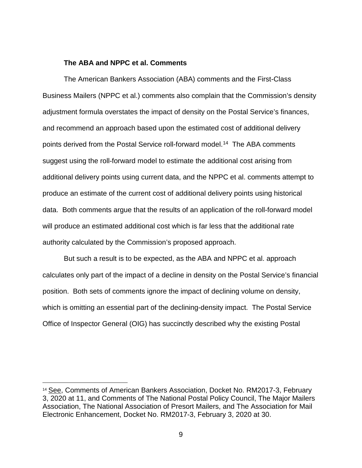#### **The ABA and NPPC et al. Comments**

The American Bankers Association (ABA) comments and the First-Class Business Mailers (NPPC et al.) comments also complain that the Commission's density adjustment formula overstates the impact of density on the Postal Service's finances, and recommend an approach based upon the estimated cost of additional delivery points derived from the Postal Service roll-forward model.<sup>[14](#page-9-0)</sup> The ABA comments suggest using the roll-forward model to estimate the additional cost arising from additional delivery points using current data, and the NPPC et al. comments attempt to produce an estimate of the current cost of additional delivery points using historical data. Both comments argue that the results of an application of the roll-forward model will produce an estimated additional cost which is far less that the additional rate authority calculated by the Commission's proposed approach.

But such a result is to be expected, as the ABA and NPPC et al. approach calculates only part of the impact of a decline in density on the Postal Service's financial position. Both sets of comments ignore the impact of declining volume on density, which is omitting an essential part of the declining-density impact. The Postal Service Office of Inspector General (OIG) has succinctly described why the existing Postal

<span id="page-9-0"></span> <sup>14</sup> See, Comments of American Bankers Association, Docket No. RM2017-3, February 3, 2020 at 11, and Comments of The National Postal Policy Council, The Major Mailers Association, The National Association of Presort Mailers, and The Association for Mail Electronic Enhancement, Docket No. RM2017-3, February 3, 2020 at 30.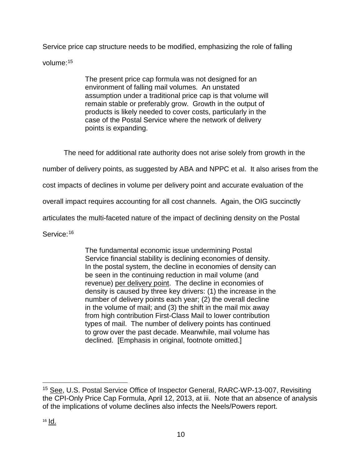Service price cap structure needs to be modified, emphasizing the role of falling

volume[:15](#page-10-0)

The present price cap formula was not designed for an environment of falling mail volumes. An unstated assumption under a traditional price cap is that volume will remain stable or preferably grow. Growth in the output of products is likely needed to cover costs, particularly in the case of the Postal Service where the network of delivery points is expanding.

The need for additional rate authority does not arise solely from growth in the

number of delivery points, as suggested by ABA and NPPC et al. It also arises from the

cost impacts of declines in volume per delivery point and accurate evaluation of the

overall impact requires accounting for all cost channels. Again, the OIG succinctly

articulates the multi-faceted nature of the impact of declining density on the Postal

Service: [16](#page-10-1)

The fundamental economic issue undermining Postal Service financial stability is declining economies of density. In the postal system, the decline in economies of density can be seen in the continuing reduction in mail volume (and revenue) per delivery point. The decline in economies of density is caused by three key drivers: (1) the increase in the number of delivery points each year; (2) the overall decline in the volume of mail; and (3) the shift in the mail mix away from high contribution First-Class Mail to lower contribution types of mail. The number of delivery points has continued to grow over the past decade. Meanwhile, mail volume has declined. [Emphasis in original, footnote omitted.]

<span id="page-10-1"></span><span id="page-10-0"></span> <sup>15</sup> See, U.S. Postal Service Office of Inspector General, RARC-WP-13-007, Revisiting the CPI-Only Price Cap Formula, April 12, 2013, at iii. Note that an absence of analysis of the implications of volume declines also infects the Neels/Powers report.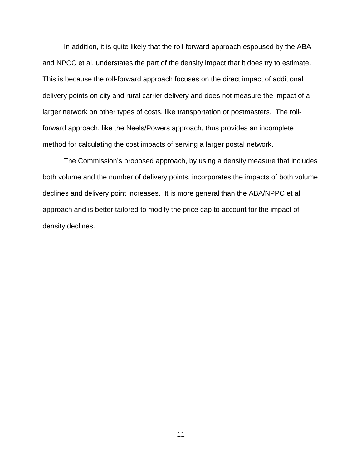In addition, it is quite likely that the roll-forward approach espoused by the ABA and NPCC et al. understates the part of the density impact that it does try to estimate. This is because the roll-forward approach focuses on the direct impact of additional delivery points on city and rural carrier delivery and does not measure the impact of a larger network on other types of costs, like transportation or postmasters. The rollforward approach, like the Neels/Powers approach, thus provides an incomplete method for calculating the cost impacts of serving a larger postal network.

The Commission's proposed approach, by using a density measure that includes both volume and the number of delivery points, incorporates the impacts of both volume declines and delivery point increases. It is more general than the ABA/NPPC et al. approach and is better tailored to modify the price cap to account for the impact of density declines.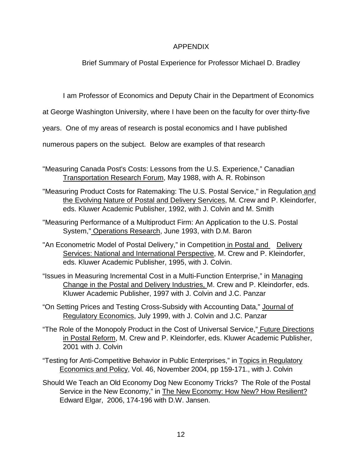# APPENDIX

Brief Summary of Postal Experience for Professor Michael D. Bradley

I am Professor of Economics and Deputy Chair in the Department of Economics

at George Washington University, where I have been on the faculty for over thirty-five

years. One of my areas of research is postal economics and I have published

numerous papers on the subject. Below are examples of that research

- "Measuring Canada Post's Costs: Lessons from the U.S. Experience," Canadian Transportation Research Forum, May 1988, with A. R. Robinson
- "Measuring Product Costs for Ratemaking: The U.S. Postal Service," in Regulation and the Evolving Nature of Postal and Delivery Services, M. Crew and P. Kleindorfer, eds. Kluwer Academic Publisher, 1992, with J. Colvin and M. Smith
- "Measuring Performance of a Multiproduct Firm: An Application to the U.S. Postal System," Operations Research, June 1993, with D.M. Baron
- "An Econometric Model of Postal Delivery," in Competition in Postal and Delivery Services: National and International Perspective, M. Crew and P. Kleindorfer, eds. Kluwer Academic Publisher, 1995, with J. Colvin.
- "Issues in Measuring Incremental Cost in a Multi-Function Enterprise," in Managing Change in the Postal and Delivery Industries, M. Crew and P. Kleindorfer, eds. Kluwer Academic Publisher, 1997 with J. Colvin and J.C. Panzar
- "On Setting Prices and Testing Cross-Subsidy with Accounting Data," Journal of Regulatory Economics, July 1999, with J. Colvin and J.C. Panzar
- "The Role of the Monopoly Product in the Cost of Universal Service," Future Directions in Postal Reform, M. Crew and P. Kleindorfer, eds. Kluwer Academic Publisher, 2001 with J. Colvin
- "Testing for Anti-Competitive Behavior in Public Enterprises," in Topics in Regulatory Economics and Policy, Vol. 46, November 2004, pp 159-171., with J. Colvin
- Should We Teach an Old Economy Dog New Economy Tricks? The Role of the Postal Service in the New Economy," in The New Economy: How New? How Resilient? Edward Elgar, 2006, 174-196 with D.W. Jansen.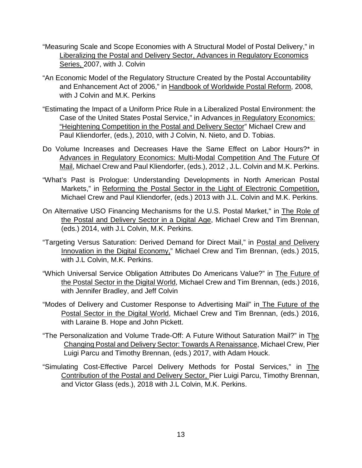- "Measuring Scale and Scope Economies with A Structural Model of Postal Delivery," in Liberalizing the Postal and Delivery Sector, Advances in Regulatory Economics Series, 2007, with J. Colvin
- "An Economic Model of the Regulatory Structure Created by the Postal Accountability and Enhancement Act of 2006," in Handbook of Worldwide Postal Reform, 2008, with J Colvin and M.K. Perkins
- "Estimating the Impact of a Uniform Price Rule in a Liberalized Postal Environment: the Case of the United States Postal Service," in Advances in Regulatory Economics: "Heightening Competition in the Postal and Delivery Sector" Michael Crew and Paul Kliendorfer, (eds.), 2010, with J Colvin, N. Nieto, and D. Tobias.
- Do Volume Increases and Decreases Have the Same Effect on Labor Hours?\* in Advances in Regulatory Economics: Multi-Modal Competition And The Future Of Mail, Michael Crew and Paul Kliendorfer, (eds.), 2012 , J.L. Colvin and M.K. Perkins.
- "What's Past is Prologue: Understanding Developments in North American Postal Markets," in Reforming the Postal Sector in the Light of Electronic Competition, Michael Crew and Paul Kliendorfer, (eds.) 2013 with J.L. Colvin and M.K. Perkins.
- On Alternative USO Financing Mechanisms for the U.S. Postal Market," in The Role of the Postal and Delivery Sector in a Digital Age, Michael Crew and Tim Brennan, (eds.) 2014, with J.L Colvin, M.K. Perkins.
- "Targeting Versus Saturation: Derived Demand for Direct Mail," in Postal and Delivery Innovation in the Digital Economy," Michael Crew and Tim Brennan, (eds.) 2015, with J.L Colvin, M.K. Perkins.
- "Which Universal Service Obligation Attributes Do Americans Value?" in The Future of the Postal Sector in the Digital World, Michael Crew and Tim Brennan, (eds.) 2016, with Jennifer Bradley, and Jeff Colvin
- "Modes of Delivery and Customer Response to Advertising Mail" in The Future of the Postal Sector in the Digital World, Michael Crew and Tim Brennan, (eds.) 2016, with Laraine B. Hope and John Pickett.
- "The Personalization and Volume Trade-Off: A Future Without Saturation Mail?" in The Changing Postal and Delivery Sector: Towards A Renaissance, Michael Crew, Pier Luigi Parcu and Timothy Brennan, (eds.) 2017, with Adam Houck.
- "Simulating Cost-Effective Parcel Delivery Methods for Postal Services," in The Contribution of the Postal and Delivery Sector, Pier Luigi Parcu, Timothy Brennan, and Victor Glass (eds.), 2018 with J.L Colvin, M.K. Perkins.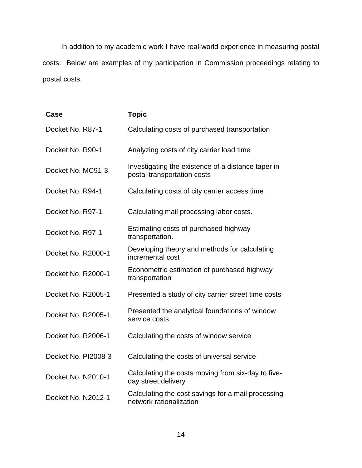In addition to my academic work I have real-world experience in measuring postal costs. Below are examples of my participation in Commission proceedings relating to postal costs.

| Case                | <b>Topic</b>                                                                      |
|---------------------|-----------------------------------------------------------------------------------|
| Docket No. R87-1    | Calculating costs of purchased transportation                                     |
| Docket No. R90-1    | Analyzing costs of city carrier load time                                         |
| Docket No. MC91-3   | Investigating the existence of a distance taper in<br>postal transportation costs |
| Docket No. R94-1    | Calculating costs of city carrier access time                                     |
| Docket No. R97-1    | Calculating mail processing labor costs.                                          |
| Docket No. R97-1    | Estimating costs of purchased highway<br>transportation.                          |
| Docket No. R2000-1  | Developing theory and methods for calculating<br>incremental cost                 |
| Docket No. R2000-1  | Econometric estimation of purchased highway<br>transportation                     |
| Docket No. R2005-1  | Presented a study of city carrier street time costs                               |
| Docket No. R2005-1  | Presented the analytical foundations of window<br>service costs                   |
| Docket No. R2006-1  | Calculating the costs of window service                                           |
| Docket No. PI2008-3 | Calculating the costs of universal service                                        |
| Docket No. N2010-1  | Calculating the costs moving from six-day to five-<br>day street delivery         |
| Docket No. N2012-1  | Calculating the cost savings for a mail processing<br>network rationalization     |